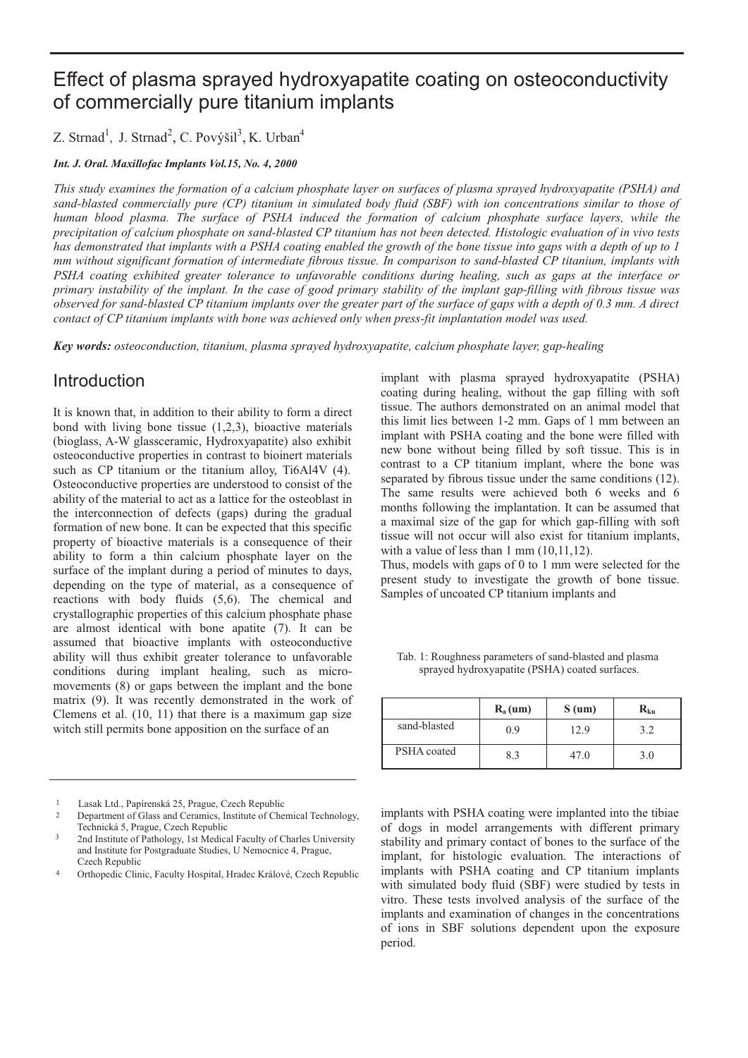# Effect of plasma sprayed hydroxyapatite coating on osteoconductivity of commercially pure titanium implants

Z. Strnad<sup>1</sup>, J. Strnad<sup>2</sup>, C. Povýšil<sup>3</sup>, K. Urban<sup>4</sup>

#### *Int. J. Oral. Maxillofac Implants Vol.15, No. 4, 2000*

*This study examines the formation of a calcium phosphate layer on surfaces of plasma sprayed hydroxyapatite (PSHA) and sand-blasted commercially pure (CP) titanium in simulated body fluid (SBF) with ion concentrations similar to those of human blood plasma. The surface of PSHA induced the formation of calcium phosphate surface layers, while the precipitation of calcium phosphate on sand-blasted CP titanium has not been detected. Histologic evaluation of in vivo tests has demonstrated that implants with a PSHA coating enabled the growth of the bone tissue into gaps with a depth of up to 1 mm without significant formation of intermediate fibrous tissue. In comparison to sand-blasted CP titanium, implants with PSHA coating exhibited greater tolerance to unfavorable conditions during healing, such as gaps at the interface or primary instability of the implant. In the case of good primary stability of the implant gap-filling with fibrous tissue was observed for sand-blasted CP titanium implants over the greater part of the surface of gaps with a depth of 0.3 mm. A direct contact of CP titanium implants with bone was achieved only when press-fit implantation model was used.*

*Key words: osteoconduction, titanium, plasma sprayed hydroxyapatite, calcium phosphate layer, gap-healing*

# Introduction

It is known that, in addition to their ability to form a direct bond with living bone tissue (1,2,3), bioactive materials (bioglass, A-W glassceramic, Hydroxyapatite) also exhibit osteoconductive properties in contrast to bioinert materials such as CP titanium or the titanium alloy, Ti6Al4V (4). Osteoconductive properties are understood to consist of the ability of the material to act as a lattice for the osteoblast in the interconnection of defects (gaps) during the gradual formation of new bone. It can be expected that this specific property of bioactive materials is a consequence of their ability to form a thin calcium phosphate layer on the surface of the implant during a period of minutes to days, depending on the type of material, as a consequence of reactions with body fluids (5,6). The chemical and crystallographic properties of this calcium phosphate phase are almost identical with bone apatite (7). It can be assumed that bioactive implants with osteoconductive ability will thus exhibit greater tolerance to unfavorable conditions during implant healing, such as micromovements (8) or gaps between the implant and the bone matrix (9). It was recently demonstrated in the work of Clemens et al. (10, 11) that there is a maximum gap size witch still permits bone apposition on the surface of an

implant with plasma sprayed hydroxyapatite (PSHA) coating during healing, without the gap filling with soft tissue. The authors demonstrated on an animal model that this limit lies between 1-2 mm. Gaps of 1 mm between an implant with PSHA coating and the bone were filled with new bone without being filled by soft tissue. This is in contrast to a CP titanium implant, where the bone was separated by fibrous tissue under the same conditions (12). The same results were achieved both 6 weeks and 6 months following the implantation. It can be assumed that a maximal size of the gap for which gap-filling with soft tissue will not occur will also exist for titanium implants, with a value of less than 1 mm  $(10,11,12)$ .

Thus, models with gaps of 0 to 1 mm were selected for the present study to investigate the growth of bone tissue. Samples of uncoated CP titanium implants and

|              | $R_a$ (um) | $S$ (um) | $\mathbf{R}_{\mathbf{k}\mathbf{u}}$ |
|--------------|------------|----------|-------------------------------------|
| sand-blasted | 0.9        | 12.9     | 3.2.                                |
| PSHA coated  | 8.3        | 47.0     | 3.0                                 |

Tab. 1: Roughness parameters of sand-blasted and plasma sprayed hydroxyapatite (PSHA) coated surfaces.

implants with PSHA coating were implanted into the tibiae of dogs in model arrangements with different primary stability and primary contact of bones to the surface of the implant, for histologic evaluation. The interactions of implants with PSHA coating and CP titanium implants with simulated body fluid (SBF) were studied by tests in vitro. These tests involved analysis of the surface of the implants and examination of changes in the concentrations of ions in SBF solutions dependent upon the exposure period.

<sup>1</sup> Lasak Ltd., Papírenská 25, Prague, Czech Republic

<sup>2</sup> Department of Glass and Ceramics, Institute of Chemical Technology, Technická 5, Prague, Czech Republic

<sup>3</sup> 2nd Institute of Pathology, 1st Medical Faculty of Charles University and Institute for Postgraduate Studies, U Nemocnice 4, Prague, Czech Republic

<sup>4</sup> Orthopedic Clinic, Faculty Hospital, Hradec Králové, Czech Republic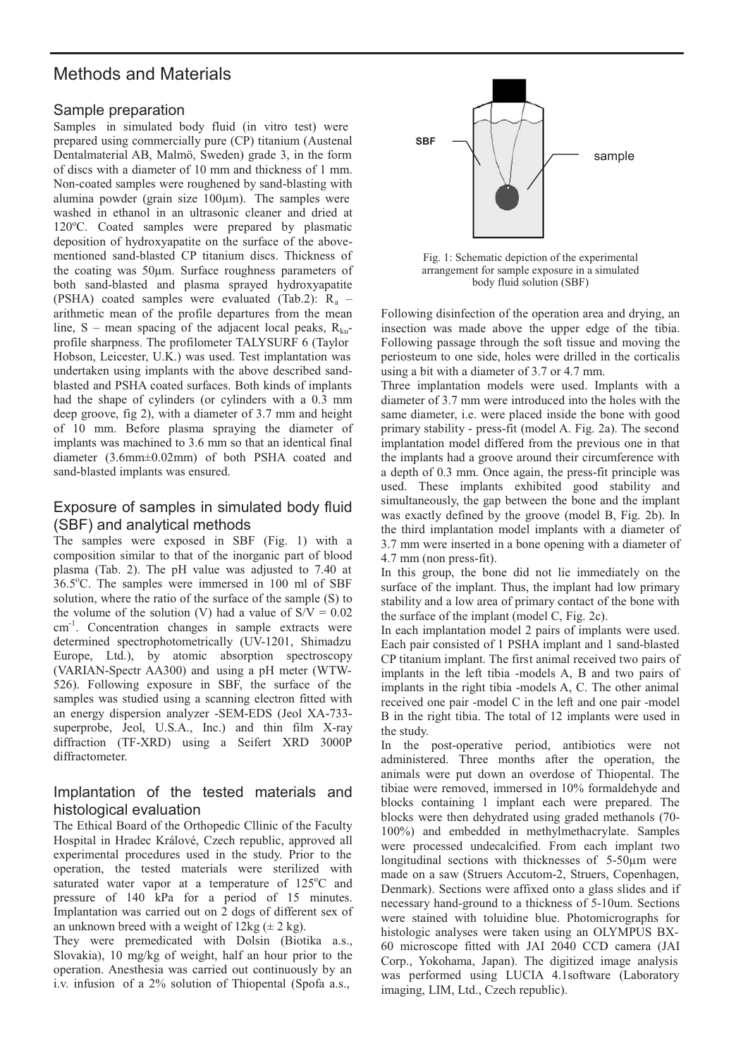# Methods and Materials

#### Sample preparation

Samples in simulated body fluid (in vitro test) were prepared using commercially pure (CP) titanium (Austenal Dentalmaterial AB, Malmö, Sweden) grade 3, in the form of discs with a diameter of 10 mm and thickness of 1 mm. Non-coated samples were roughened by sand-blasting with alumina powder (grain size  $100 \mu m$ ). The samples were washed in ethanol in an ultrasonic cleaner and dried at 120°C. Coated samples were prepared by plasmatic deposition of hydroxyapatite on the surface of the abovementioned sand-blasted CP titanium discs. Thickness of the coating was 50µm. Surface roughness parameters of both sand-blasted and plasma sprayed hydroxyapatite (PSHA) coated samples were evaluated (Tab.2):  $R_a$  – arithmetic mean of the profile departures from the mean line, S – mean spacing of the adjacent local peaks,  $R_{k_0}$ profile sharpness. The profilometer TALYSURF 6 (Taylor Hobson, Leicester, U.K.) was used. Test implantation was undertaken using implants with the above described sandblasted and PSHA coated surfaces. Both kinds of implants had the shape of cylinders (or cylinders with a 0.3 mm deep groove, fig 2), with a diameter of 3.7 mm and height of 10 mm. Before plasma spraying the diameter of implants was machined to 3.6 mm so that an identical final diameter (3.6mm±0.02mm) of both PSHA coated and sand-blasted implants was ensured.

#### Exposure of samples in simulated body fluid (SBF) and analytical methods

The samples were exposed in SBF (Fig. 1) with a composition similar to that of the inorganic part of blood plasma (Tab. 2). The pH value was adjusted to 7.40 at 36.5°C. The samples were immersed in 100 ml of SBF solution, where the ratio of the surface of the sample (S) to the volume of the solution (V) had a value of  $S/V = 0.02$ cm-1. Concentration changes in sample extracts were determined spectrophotometrically (UV-1201, Shimadzu Europe, Ltd.), by atomic absorption spectroscopy (VARIAN-Spectr AA300) and using a pH meter (WTW-526). Following exposure in SBF, the surface of the samples was studied using a scanning electron fitted with an energy dispersion analyzer -SEM-EDS (Jeol XA-733 superprobe, Jeol, U.S.A., Inc.) and thin film X-ray diffraction (TF-XRD) using a Seifert XRD 3000P diffractometer.

#### Implantation of the tested materials and histological evaluation

The Ethical Board of the Orthopedic Cllinic of the Faculty Hospital in Hradec Králové, Czech republic, approved all experimental procedures used in the study. Prior to the operation, the tested materials were sterilized with saturated water vapor at a temperature of 125°C and pressure of 140 kPa for a period of 15 minutes. Implantation was carried out on 2 dogs of different sex of an unknown breed with a weight of  $12\text{kg} (\pm 2 \text{ kg})$ .

They were premedicated with Dolsin (Biotika a.s., Slovakia), 10 mg/kg of weight, half an hour prior to the operation. Anesthesia was carried out continuously by an i.v. infusion of a 2% solution of Thiopental (Spofa a.s.,



Fig. 1: Schematic depiction of the experimental arrangement for sample exposure in a simulated body fluid solution (SBF)

Following disinfection of the operation area and drying, an insection was made above the upper edge of the tibia. Following passage through the soft tissue and moving the periosteum to one side, holes were drilled in the corticalis using a bit with a diameter of 3.7 or 4.7 mm.

Three implantation models were used. Implants with a diameter of 3.7 mm were introduced into the holes with the same diameter, i.e. were placed inside the bone with good primary stability - press-fit (model A. Fig. 2a). The second implantation model differed from the previous one in that the implants had a groove around their circumference with a depth of 0.3 mm. Once again, the press-fit principle was used. These implants exhibited good stability and simultaneously, the gap between the bone and the implant was exactly defined by the groove (model B, Fig. 2b). In the third implantation model implants with a diameter of 3.7 mm were inserted in a bone opening with a diameter of 4.7 mm (non press-fit).

In this group, the bone did not lie immediately on the surface of the implant. Thus, the implant had low primary stability and a low area of primary contact of the bone with the surface of the implant (model C, Fig. 2c).

In each implantation model 2 pairs of implants were used. Each pair consisted of 1 PSHA implant and 1 sand-blasted CP titanium implant. The first animal received two pairs of implants in the left tibia -models A, B and two pairs of implants in the right tibia -models A, C. The other animal received one pair -model C in the left and one pair -model B in the right tibia. The total of 12 implants were used in the study.

In the post-operative period, antibiotics were not administered. Three months after the operation, the animals were put down an overdose of Thiopental. The tibiae were removed, immersed in 10% formaldehyde and blocks containing 1 implant each were prepared. The blocks were then dehydrated using graded methanols (70- 100%) and embedded in methylmethacrylate. Samples were processed undecalcified. From each implant two longitudinal sections with thicknesses of 5-50µm were made on a saw (Struers Accutom-2, Struers, Copenhagen, Denmark). Sections were affixed onto a glass slides and if necessary hand-ground to a thickness of 5-10um. Sections were stained with toluidine blue. Photomicrographs for histologic analyses were taken using an OLYMPUS BX-60 microscope fitted with JAI 2040 CCD camera (JAI Corp., Yokohama, Japan). The digitized image analysis was performed using LUCIA 4.1software (Laboratory imaging, LIM, Ltd., Czech republic).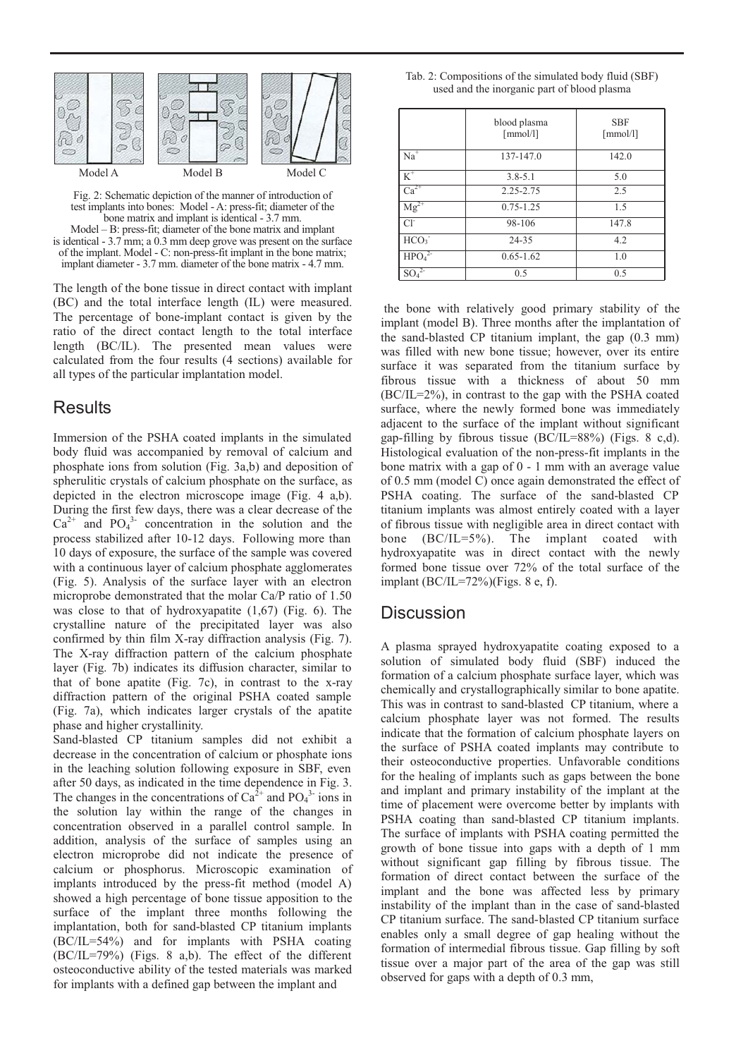

Fig. 2: Schematic depiction of the manner of introduction of test implants into bones: Model - A: press-fit; diameter of the bone matrix and implant is identical - 3.7 mm. Model – B: press-fit; diameter of the bone matrix and implant is identical - 3.7 mm; a 0.3 mm deep grove was present on the surface of the implant. Model - C: non-press-fit implant in the bone matrix; implant diameter - 3.7 mm. diameter of the bone matrix - 4.7 mm.

The length of the bone tissue in direct contact with implant (BC) and the total interface length (IL) were measured. The percentage of bone-implant contact is given by the ratio of the direct contact length to the total interface length (BC/IL). The presented mean values were calculated from the four results (4 sections) available for all types of the particular implantation model.

#### **Results**

Immersion of the PSHA coated implants in the simulated body fluid was accompanied by removal of calcium and phosphate ions from solution (Fig. 3a,b) and deposition of spherulitic crystals of calcium phosphate on the surface, as depicted in the electron microscope image (Fig. 4 a,b). During the first few days, there was a clear decrease of the  $Ca^{2+}$  and  $PO_4^{3-}$  concentration in the solution and the process stabilized after 10-12 days. Following more than 10 days of exposure, the surface of the sample was covered with a continuous layer of calcium phosphate agglomerates (Fig. 5). Analysis of the surface layer with an electron microprobe demonstrated that the molar Ca/P ratio of 1.50 was close to that of hydroxyapatite (1,67) (Fig. 6). The crystalline nature of the precipitated layer was also confirmed by thin film X-ray diffraction analysis (Fig. 7). The X-ray diffraction pattern of the calcium phosphate layer (Fig. 7b) indicates its diffusion character, similar to that of bone apatite (Fig. 7c), in contrast to the x-ray diffraction pattern of the original PSHA coated sample (Fig. 7a), which indicates larger crystals of the apatite phase and higher crystallinity.

Sand-blasted CP titanium samples did not exhibit a decrease in the concentration of calcium or phosphate ions in the leaching solution following exposure in SBF, even after 50 days, as indicated in the time dependence in Fig. 3. The changes in the concentrations of  $Ca^{2+}$  and  $PO_4^{3-}$  ions in the solution lay within the range of the changes in concentration observed in a parallel control sample. In addition, analysis of the surface of samples using an electron microprobe did not indicate the presence of calcium or phosphorus. Microscopic examination of implants introduced by the press-fit method (model A) showed a high percentage of bone tissue apposition to the surface of the implant three months following the implantation, both for sand-blasted CP titanium implants (BC/IL=54%) and for implants with PSHA coating (BC/IL=79%) (Figs. 8 a,b). The effect of the different osteoconductive ability of the tested materials was marked for implants with a defined gap between the implant and

| Tab. 2: Compositions of the simulated body fluid (SBF) |  |
|--------------------------------------------------------|--|
| used and the inorganic part of blood plasma            |  |

|                               | blood plasma<br>$\lceil$ mmol/l] | <b>SBF</b><br>$\lceil$ mmol/l] |
|-------------------------------|----------------------------------|--------------------------------|
| $Na^{\overline{+}}$           | 137-147.0                        | 142.0                          |
| $K^+$                         | $3.8 - 5.1$                      | 5.0                            |
| $\overline{\text{Ca}^{2+}}$   | 2.25-2.75                        | 2.5                            |
| $Mg^{2+}$                     | $0.75 - 1.25$                    | 1.5                            |
| $Cl^2$                        | 98-106                           | 147.8                          |
| HCO <sub>3</sub>              | 24-35                            | 4.2                            |
| HPO <sub>4</sub> <sup>2</sup> | $0.65 - 1.62$                    | 1.0                            |
| SO4                           | 0.5                              | 0.5                            |

the bone with relatively good primary stability of the implant (model B). Three months after the implantation of the sand-blasted CP titanium implant, the gap (0.3 mm) was filled with new bone tissue; however, over its entire surface it was separated from the titanium surface by fibrous tissue with a thickness of about 50 mm (BC/IL=2%), in contrast to the gap with the PSHA coated surface, where the newly formed bone was immediately adjacent to the surface of the implant without significant gap-filling by fibrous tissue  $(BC/IL=88%)$  (Figs. 8 c,d). Histological evaluation of the non-press-fit implants in the bone matrix with a gap of 0 - 1 mm with an average value of 0.5 mm (model C) once again demonstrated the effect of PSHA coating. The surface of the sand-blasted CP titanium implants was almost entirely coated with a layer of fibrous tissue with negligible area in direct contact with bone (BC/IL=5%). The implant coated with hydroxyapatite was in direct contact with the newly formed bone tissue over 72% of the total surface of the implant (BC/IL=72%)(Figs. 8 e, f).

#### **Discussion**

A plasma sprayed hydroxyapatite coating exposed to a solution of simulated body fluid (SBF) induced the formation of a calcium phosphate surface layer, which was chemically and crystallographically similar to bone apatite. This was in contrast to sand-blasted CP titanium, where a calcium phosphate layer was not formed. The results indicate that the formation of calcium phosphate layers on the surface of PSHA coated implants may contribute to their osteoconductive properties. Unfavorable conditions for the healing of implants such as gaps between the bone and implant and primary instability of the implant at the time of placement were overcome better by implants with PSHA coating than sand-blasted CP titanium implants. The surface of implants with PSHA coating permitted the growth of bone tissue into gaps with a depth of 1 mm without significant gap filling by fibrous tissue. The formation of direct contact between the surface of the implant and the bone was affected less by primary instability of the implant than in the case of sand-blasted CP titanium surface. The sand-blasted CP titanium surface enables only a small degree of gap healing without the formation of intermedial fibrous tissue. Gap filling by soft tissue over a major part of the area of the gap was still observed for gaps with a depth of 0.3 mm,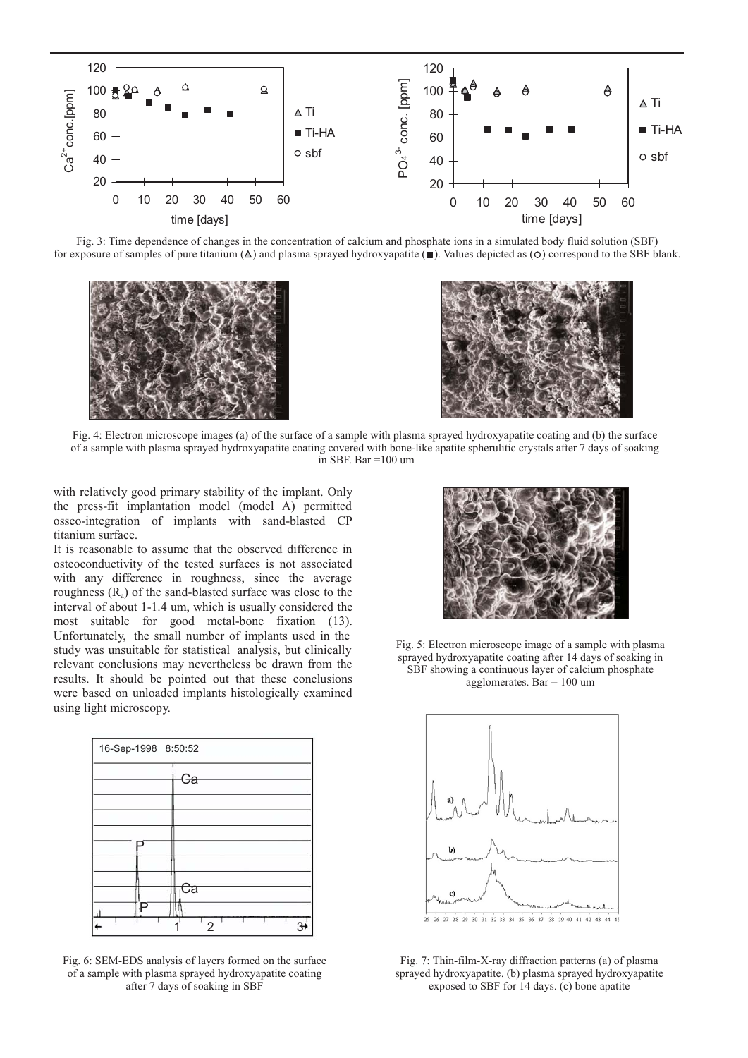

Fig. 3: Time dependence of changes in the concentration of calcium and phosphate ions in a simulated body fluid solution (SBF) for exposure of samples of pure titanium  $(\Delta)$  and plasma sprayed hydroxyapatite ( $\blacksquare$ ). Values depicted as ( $\bigcirc$ ) correspond to the SBF blank.





Fig. 4: Electron microscope images (a) of the surface of a sample with plasma sprayed hydroxyapatite coating and (b) the surface of a sample with plasma sprayed hydroxyapatite coating covered with bone-like apatite spherulitic crystals after 7 days of soaking in SBF. Bar =100 um

with relatively good primary stability of the implant. Only the press-fit implantation model (model A) permitted osseo-integration of implants with sand-blasted CP titanium surface.

It is reasonable to assume that the observed difference in osteoconductivity of the tested surfaces is not associated with any difference in roughness, since the average roughness  $(R_a)$  of the sand-blasted surface was close to the interval of about 1-1.4 um, which is usually considered the most suitable for good metal-bone fixation (13). Unfortunately, the small number of implants used in the study was unsuitable for statistical analysis, but clinically relevant conclusions may nevertheless be drawn from the results. It should be pointed out that these conclusions were based on unloaded implants histologically examined using light microscopy.



Fig. 6: SEM-EDS analysis of layers formed on the surface of a sample with plasma sprayed hydroxyapatite coating after 7 days of soaking in SBF



Fig. 5: Electron microscope image of a sample with plasma sprayed hydroxyapatite coating after 14 days of soaking in SBF showing a continuous layer of calcium phosphate agglomerates. Bar = 100 um



Fig. 7: Thin-film-X-ray diffraction patterns (a) of plasma sprayed hydroxyapatite. (b) plasma sprayed hydroxyapatite exposed to SBF for 14 days. (c) bone apatite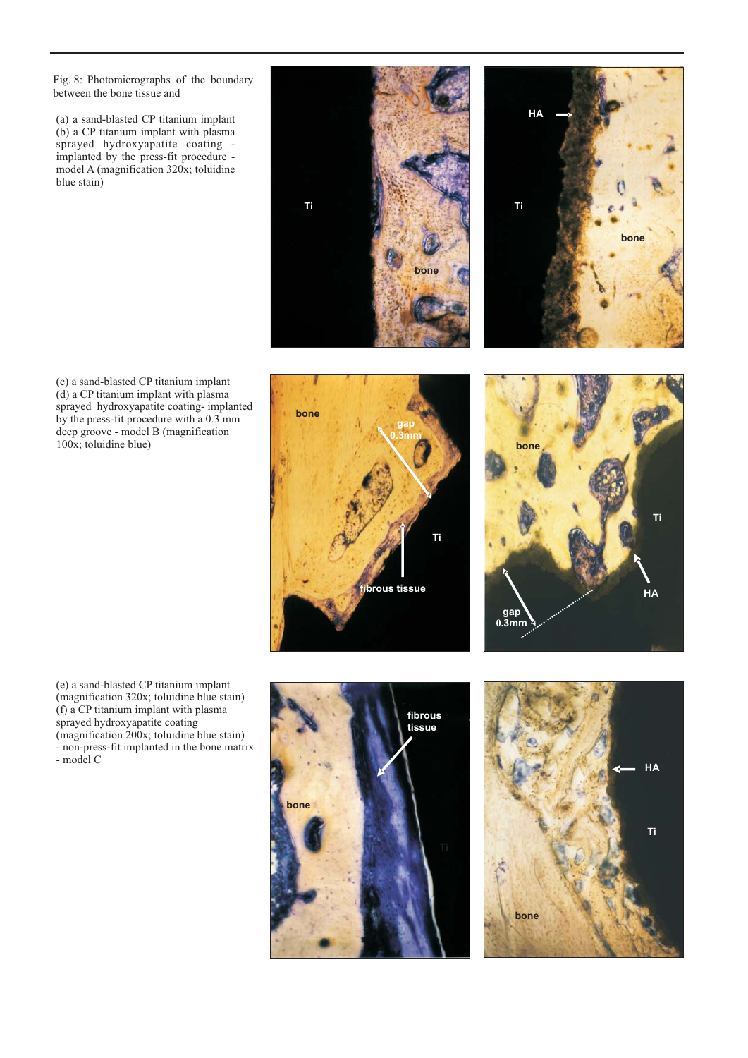Fig. 8: Photomicrographs of the boundary between the bone tissue and

(a) a sand-blasted CP titanium implant (b) a CP titanium implant with plasma sprayed hydroxyapatite coating implanted by the press-fit procedure model A (magnification 320x; toluidine blue stain)

(c) a sand-blasted CP titanium implant (d) a CP titanium implant with plasma sprayed hydroxyapatite coating- implanted by the press-fit procedure with a 0.3 mm deep groove - model B (magnification 100x; toluidine blue)

(e) a sand-blasted CP titanium implant (magnification 320x; toluidine blue stain) (f) a CP titanium implant with plasma sprayed hydroxyapatite coating (magnification 200x; toluidine blue stain) - non-press-fit implanted in the bone matrix - model C

# **fibrous tissue bone gap 0.3mm**